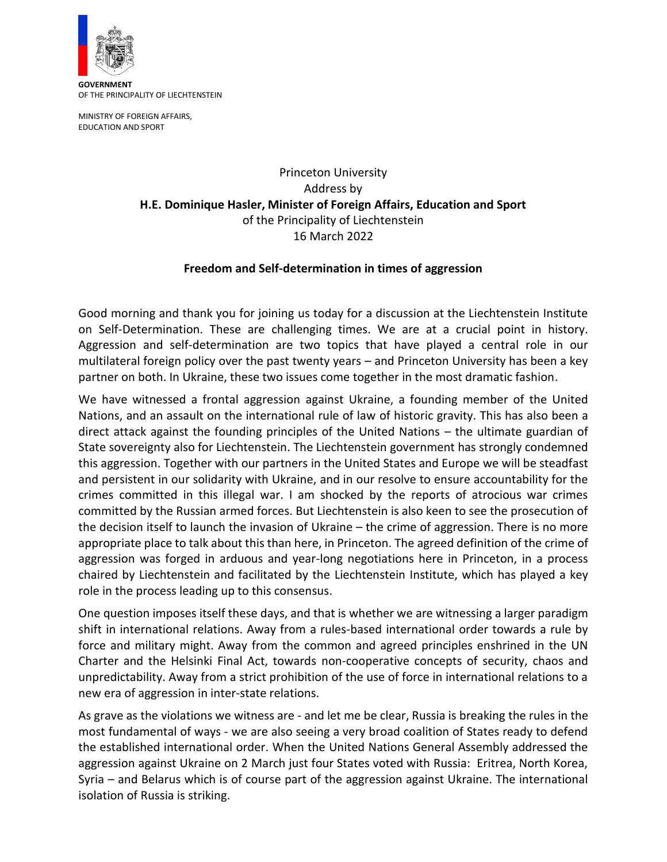

**GOVERNMENT** OF THE PRINCIPALITY OF LIECHTENSTEIN

MINISTRY OF FOREIGN AFFAIRS, EDUCATION AND SPORT

> Princeton University Address by **H.E. Dominique Hasler, Minister of Foreign Affairs, Education and Sport**  of the Principality of Liechtenstein 16 March 2022

## **Freedom and Self-determination in times of aggression**

Good morning and thank you for joining us today for a discussion at the Liechtenstein Institute on Self-Determination. These are challenging times. We are at a crucial point in history. Aggression and self-determination are two topics that have played a central role in our multilateral foreign policy over the past twenty years – and Princeton University has been a key partner on both. In Ukraine, these two issues come together in the most dramatic fashion.

We have witnessed a frontal aggression against Ukraine, a founding member of the United Nations, and an assault on the international rule of law of historic gravity. This has also been a direct attack against the founding principles of the United Nations – the ultimate guardian of State sovereignty also for Liechtenstein. The Liechtenstein government has strongly condemned this aggression. Together with our partners in the United States and Europe we will be steadfast and persistent in our solidarity with Ukraine, and in our resolve to ensure accountability for the crimes committed in this illegal war. I am shocked by the reports of atrocious war crimes committed by the Russian armed forces. But Liechtenstein is also keen to see the prosecution of the decision itself to launch the invasion of Ukraine – the crime of aggression. There is no more appropriate place to talk about this than here, in Princeton. The agreed definition of the crime of aggression was forged in arduous and year-long negotiations here in Princeton, in a process chaired by Liechtenstein and facilitated by the Liechtenstein Institute, which has played a key role in the process leading up to this consensus.

One question imposes itself these days, and that is whether we are witnessing a larger paradigm shift in international relations. Away from a rules-based international order towards a rule by force and military might. Away from the common and agreed principles enshrined in the UN Charter and the Helsinki Final Act, towards non-cooperative concepts of security, chaos and unpredictability. Away from a strict prohibition of the use of force in international relations to a new era of aggression in inter-state relations.

As grave as the violations we witness are - and let me be clear, Russia is breaking the rules in the most fundamental of ways - we are also seeing a very broad coalition of States ready to defend the established international order. When the United Nations General Assembly addressed the aggression against Ukraine on 2 March just four States voted with Russia: Eritrea, North Korea, Syria – and Belarus which is of course part of the aggression against Ukraine. The international isolation of Russia is striking.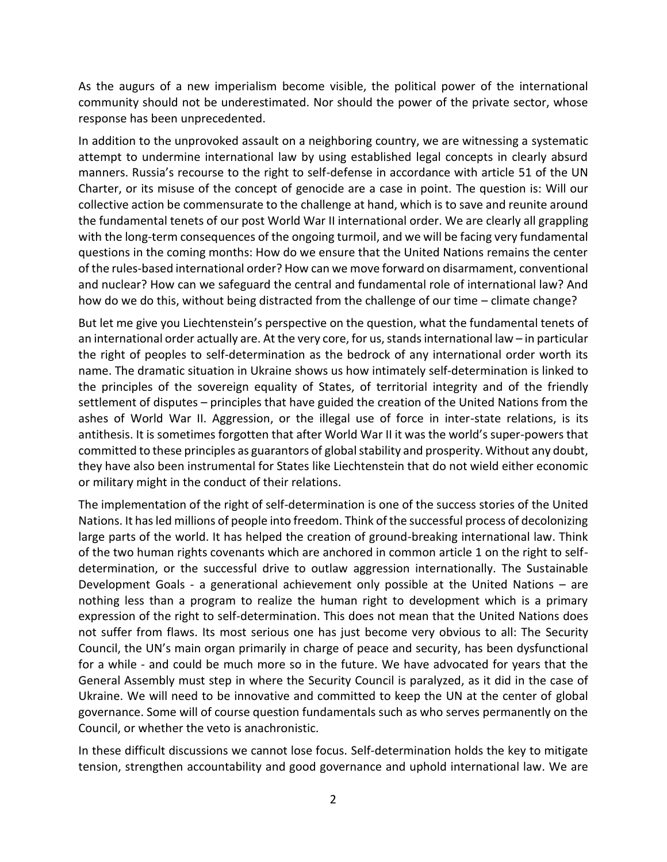As the augurs of a new imperialism become visible, the political power of the international community should not be underestimated. Nor should the power of the private sector, whose response has been unprecedented.

In addition to the unprovoked assault on a neighboring country, we are witnessing a systematic attempt to undermine international law by using established legal concepts in clearly absurd manners. Russia's recourse to the right to self-defense in accordance with article 51 of the UN Charter, or its misuse of the concept of genocide are a case in point. The question is: Will our collective action be commensurate to the challenge at hand, which is to save and reunite around the fundamental tenets of our post World War II international order. We are clearly all grappling with the long-term consequences of the ongoing turmoil, and we will be facing very fundamental questions in the coming months: How do we ensure that the United Nations remains the center of the rules-based international order? How can we move forward on disarmament, conventional and nuclear? How can we safeguard the central and fundamental role of international law? And how do we do this, without being distracted from the challenge of our time – climate change?

But let me give you Liechtenstein's perspective on the question, what the fundamental tenets of an international order actually are. At the very core, for us, stands international law – in particular the right of peoples to self-determination as the bedrock of any international order worth its name. The dramatic situation in Ukraine shows us how intimately self-determination is linked to the principles of the sovereign equality of States, of territorial integrity and of the friendly settlement of disputes – principles that have guided the creation of the United Nations from the ashes of World War II. Aggression, or the illegal use of force in inter-state relations, is its antithesis. It is sometimes forgotten that after World War II it was the world's super-powers that committed to these principles as guarantors of global stability and prosperity. Without any doubt, they have also been instrumental for States like Liechtenstein that do not wield either economic or military might in the conduct of their relations.

The implementation of the right of self-determination is one of the success stories of the United Nations. It has led millions of people into freedom. Think of the successful process of decolonizing large parts of the world. It has helped the creation of ground-breaking international law. Think of the two human rights covenants which are anchored in common article 1 on the right to selfdetermination, or the successful drive to outlaw aggression internationally. The Sustainable Development Goals - a generational achievement only possible at the United Nations – are nothing less than a program to realize the human right to development which is a primary expression of the right to self-determination. This does not mean that the United Nations does not suffer from flaws. Its most serious one has just become very obvious to all: The Security Council, the UN's main organ primarily in charge of peace and security, has been dysfunctional for a while - and could be much more so in the future. We have advocated for years that the General Assembly must step in where the Security Council is paralyzed, as it did in the case of Ukraine. We will need to be innovative and committed to keep the UN at the center of global governance. Some will of course question fundamentals such as who serves permanently on the Council, or whether the veto is anachronistic.

In these difficult discussions we cannot lose focus. Self-determination holds the key to mitigate tension, strengthen accountability and good governance and uphold international law. We are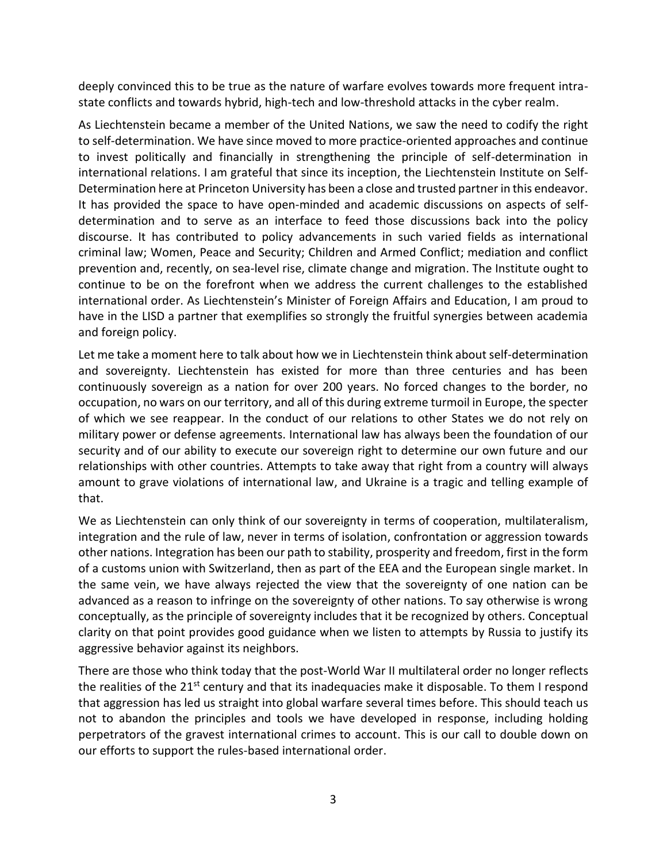deeply convinced this to be true as the nature of warfare evolves towards more frequent intrastate conflicts and towards hybrid, high-tech and low-threshold attacks in the cyber realm.

As Liechtenstein became a member of the United Nations, we saw the need to codify the right to self-determination. We have since moved to more practice-oriented approaches and continue to invest politically and financially in strengthening the principle of self-determination in international relations. I am grateful that since its inception, the Liechtenstein Institute on Self-Determination here at Princeton University has been a close and trusted partner in this endeavor. It has provided the space to have open-minded and academic discussions on aspects of selfdetermination and to serve as an interface to feed those discussions back into the policy discourse. It has contributed to policy advancements in such varied fields as international criminal law; Women, Peace and Security; Children and Armed Conflict; mediation and conflict prevention and, recently, on sea-level rise, climate change and migration. The Institute ought to continue to be on the forefront when we address the current challenges to the established international order. As Liechtenstein's Minister of Foreign Affairs and Education, I am proud to have in the LISD a partner that exemplifies so strongly the fruitful synergies between academia and foreign policy.

Let me take a moment here to talk about how we in Liechtenstein think about self-determination and sovereignty. Liechtenstein has existed for more than three centuries and has been continuously sovereign as a nation for over 200 years. No forced changes to the border, no occupation, no wars on our territory, and all of this during extreme turmoil in Europe, the specter of which we see reappear. In the conduct of our relations to other States we do not rely on military power or defense agreements. International law has always been the foundation of our security and of our ability to execute our sovereign right to determine our own future and our relationships with other countries. Attempts to take away that right from a country will always amount to grave violations of international law, and Ukraine is a tragic and telling example of that.

We as Liechtenstein can only think of our sovereignty in terms of cooperation, multilateralism, integration and the rule of law, never in terms of isolation, confrontation or aggression towards other nations. Integration has been our path to stability, prosperity and freedom, first in the form of a customs union with Switzerland, then as part of the EEA and the European single market. In the same vein, we have always rejected the view that the sovereignty of one nation can be advanced as a reason to infringe on the sovereignty of other nations. To say otherwise is wrong conceptually, as the principle of sovereignty includes that it be recognized by others. Conceptual clarity on that point provides good guidance when we listen to attempts by Russia to justify its aggressive behavior against its neighbors.

There are those who think today that the post-World War II multilateral order no longer reflects the realities of the 21<sup>st</sup> century and that its inadequacies make it disposable. To them I respond that aggression has led us straight into global warfare several times before. This should teach us not to abandon the principles and tools we have developed in response, including holding perpetrators of the gravest international crimes to account. This is our call to double down on our efforts to support the rules-based international order.